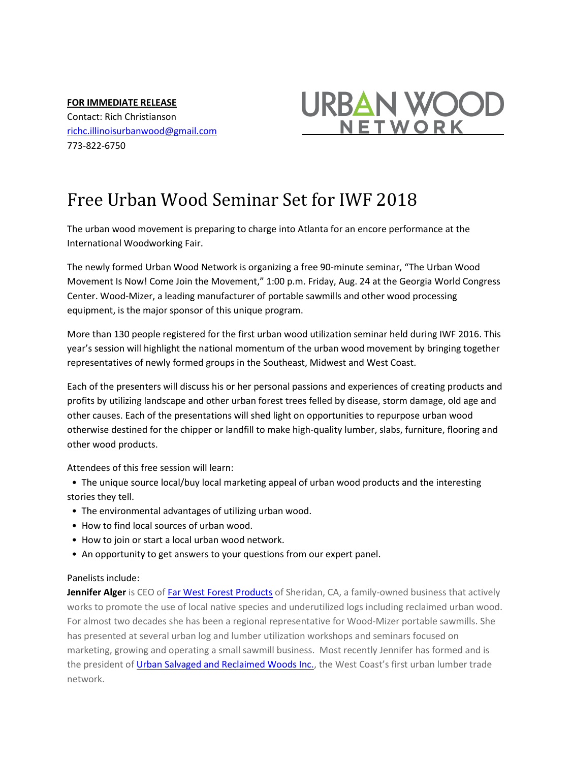**FOR IMMEDIATE RELEASE** Contact: Rich Christianson [richc.illinoisurbanwood@gmail.com](mailto:richc.illinoisurbanwood@gmail.com) 773-822-6750



## Free Urban Wood Seminar Set for IWF 2018

The urban wood movement is preparing to charge into Atlanta for an encore performance at the International Woodworking Fair.

The newly formed Urban Wood Network is organizing a free 90-minute seminar, "The Urban Wood Movement Is Now! Come Join the Movement," 1:00 p.m. Friday, Aug. 24 at the Georgia World Congress Center. Wood-Mizer, a leading manufacturer of portable sawmills and other wood processing equipment, is the major sponsor of this unique program.

More than 130 people registered for the first urban wood utilization seminar held during IWF 2016. This year's session will highlight the national momentum of the urban wood movement by bringing together representatives of newly formed groups in the Southeast, Midwest and West Coast.

Each of the presenters will discuss his or her personal passions and experiences of creating products and profits by utilizing landscape and other urban forest trees felled by disease, storm damage, old age and other causes. Each of the presentations will shed light on opportunities to repurpose urban wood otherwise destined for the chipper or landfill to make high-quality lumber, slabs, furniture, flooring and other wood products.

Attendees of this free session will learn:

 • The unique source local/buy local marketing appeal of urban wood products and the interesting stories they tell.

- The environmental advantages of utilizing urban wood.
- How to find local sources of urban wood.
- How to join or start a local urban wood network.
- An opportunity to get answers to your questions from our expert panel.

## Panelists include:

**Jennifer Alger** is CEO o[f Far West Forest Products](http://www.farwestforest.com/) of Sheridan, CA, a family-owned business that actively works to promote the use of local native species and underutilized logs including reclaimed urban wood. For almost two decades she has been a regional representative for Wood-Mizer portable sawmills. She has presented at several urban log and lumber utilization workshops and seminars focused on marketing, growing and operating a small sawmill business. Most recently Jennifer has formed and is the president of [Urban Salvaged and Reclaimed Woods Inc.,](https://urbansalvagedwoods.com/) the West Coast's first urban lumber trade network.